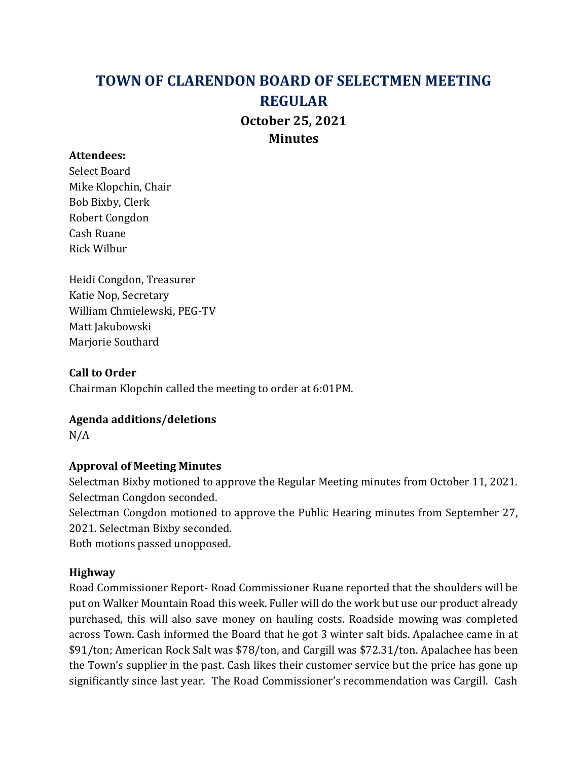# TOWN OF CLARENDON BOARD OF SELECTMEN MEETING REGULAR October 25, 2021 **Minutes**

#### Attendees:

Select Board Mike Klopchin, Chair Bob Bixby, Clerk Robert Congdon Cash Ruane Rick Wilbur

Heidi Congdon, Treasurer Katie Nop, Secretary William Chmielewski, PEG-TV Matt Jakubowski Marjorie Southard

Call to Order Chairman Klopchin called the meeting to order at 6:01PM.

## Agenda additions/deletions

N/A

## Approval of Meeting Minutes

Selectman Bixby motioned to approve the Regular Meeting minutes from October 11, 2021. Selectman Congdon seconded.

Selectman Congdon motioned to approve the Public Hearing minutes from September 27, 2021. Selectman Bixby seconded.

Both motions passed unopposed.

## Highway

Road Commissioner Report- Road Commissioner Ruane reported that the shoulders will be put on Walker Mountain Road this week. Fuller will do the work but use our product already purchased, this will also save money on hauling costs. Roadside mowing was completed across Town. Cash informed the Board that he got 3 winter salt bids. Apalachee came in at \$91/ton; American Rock Salt was \$78/ton, and Cargill was \$72.31/ton. Apalachee has been the Town's supplier in the past. Cash likes their customer service but the price has gone up significantly since last year. The Road Commissioner's recommendation was Cargill. Cash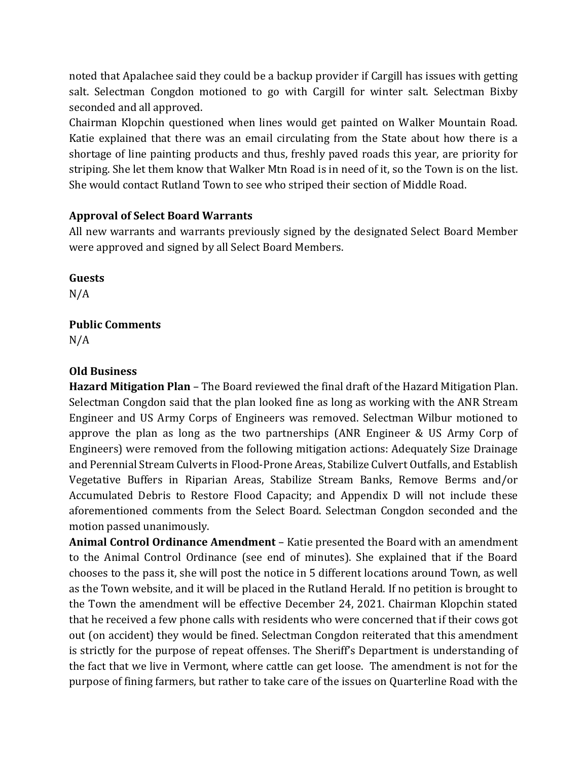noted that Apalachee said they could be a backup provider if Cargill has issues with getting salt. Selectman Congdon motioned to go with Cargill for winter salt. Selectman Bixby seconded and all approved.

Chairman Klopchin questioned when lines would get painted on Walker Mountain Road. Katie explained that there was an email circulating from the State about how there is a shortage of line painting products and thus, freshly paved roads this year, are priority for striping. She let them know that Walker Mtn Road is in need of it, so the Town is on the list. She would contact Rutland Town to see who striped their section of Middle Road.

## Approval of Select Board Warrants

All new warrants and warrants previously signed by the designated Select Board Member were approved and signed by all Select Board Members.

Guests

N/A

# Public Comments

N/A

# Old Business

Hazard Mitigation Plan – The Board reviewed the final draft of the Hazard Mitigation Plan. Selectman Congdon said that the plan looked fine as long as working with the ANR Stream Engineer and US Army Corps of Engineers was removed. Selectman Wilbur motioned to approve the plan as long as the two partnerships (ANR Engineer & US Army Corp of Engineers) were removed from the following mitigation actions: Adequately Size Drainage and Perennial Stream Culverts in Flood-Prone Areas, Stabilize Culvert Outfalls, and Establish Vegetative Buffers in Riparian Areas, Stabilize Stream Banks, Remove Berms and/or Accumulated Debris to Restore Flood Capacity; and Appendix D will not include these aforementioned comments from the Select Board. Selectman Congdon seconded and the motion passed unanimously.

Animal Control Ordinance Amendment – Katie presented the Board with an amendment to the Animal Control Ordinance (see end of minutes). She explained that if the Board chooses to the pass it, she will post the notice in 5 different locations around Town, as well as the Town website, and it will be placed in the Rutland Herald. If no petition is brought to the Town the amendment will be effective December 24, 2021. Chairman Klopchin stated that he received a few phone calls with residents who were concerned that if their cows got out (on accident) they would be fined. Selectman Congdon reiterated that this amendment is strictly for the purpose of repeat offenses. The Sheriff's Department is understanding of the fact that we live in Vermont, where cattle can get loose. The amendment is not for the purpose of fining farmers, but rather to take care of the issues on Quarterline Road with the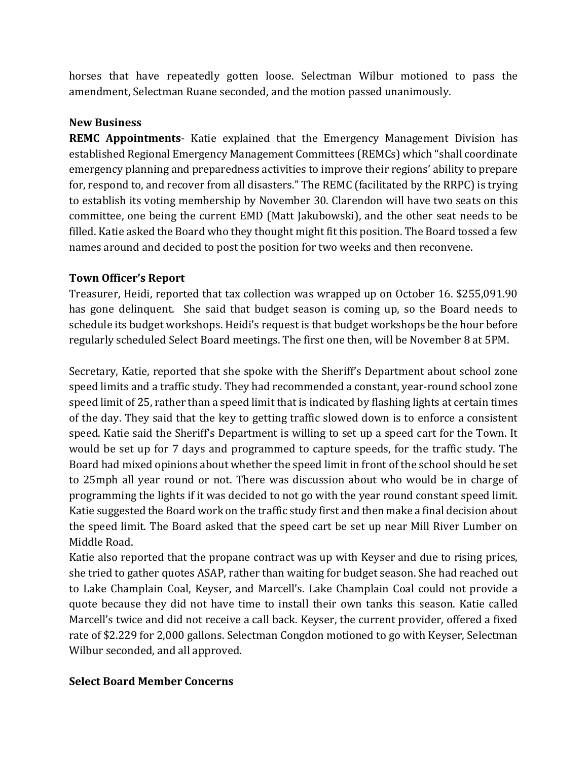horses that have repeatedly gotten loose. Selectman Wilbur motioned to pass the amendment, Selectman Ruane seconded, and the motion passed unanimously.

## New Business

REMC Appointments- Katie explained that the Emergency Management Division has established Regional Emergency Management Committees (REMCs) which "shall coordinate emergency planning and preparedness activities to improve their regions' ability to prepare for, respond to, and recover from all disasters." The REMC (facilitated by the RRPC) is trying to establish its voting membership by November 30. Clarendon will have two seats on this committee, one being the current EMD (Matt Jakubowski), and the other seat needs to be filled. Katie asked the Board who they thought might fit this position. The Board tossed a few names around and decided to post the position for two weeks and then reconvene.

## Town Officer's Report

Treasurer, Heidi, reported that tax collection was wrapped up on October 16. \$255,091.90 has gone delinquent. She said that budget season is coming up, so the Board needs to schedule its budget workshops. Heidi's request is that budget workshops be the hour before regularly scheduled Select Board meetings. The first one then, will be November 8 at 5PM.

Secretary, Katie, reported that she spoke with the Sheriff's Department about school zone speed limits and a traffic study. They had recommended a constant, year-round school zone speed limit of 25, rather than a speed limit that is indicated by flashing lights at certain times of the day. They said that the key to getting traffic slowed down is to enforce a consistent speed. Katie said the Sheriff's Department is willing to set up a speed cart for the Town. It would be set up for 7 days and programmed to capture speeds, for the traffic study. The Board had mixed opinions about whether the speed limit in front of the school should be set to 25mph all year round or not. There was discussion about who would be in charge of programming the lights if it was decided to not go with the year round constant speed limit. Katie suggested the Board work on the traffic study first and then make a final decision about the speed limit. The Board asked that the speed cart be set up near Mill River Lumber on Middle Road.

Katie also reported that the propane contract was up with Keyser and due to rising prices, she tried to gather quotes ASAP, rather than waiting for budget season. She had reached out to Lake Champlain Coal, Keyser, and Marcell's. Lake Champlain Coal could not provide a quote because they did not have time to install their own tanks this season. Katie called Marcell's twice and did not receive a call back. Keyser, the current provider, offered a fixed rate of \$2.229 for 2,000 gallons. Selectman Congdon motioned to go with Keyser, Selectman Wilbur seconded, and all approved.

## Select Board Member Concerns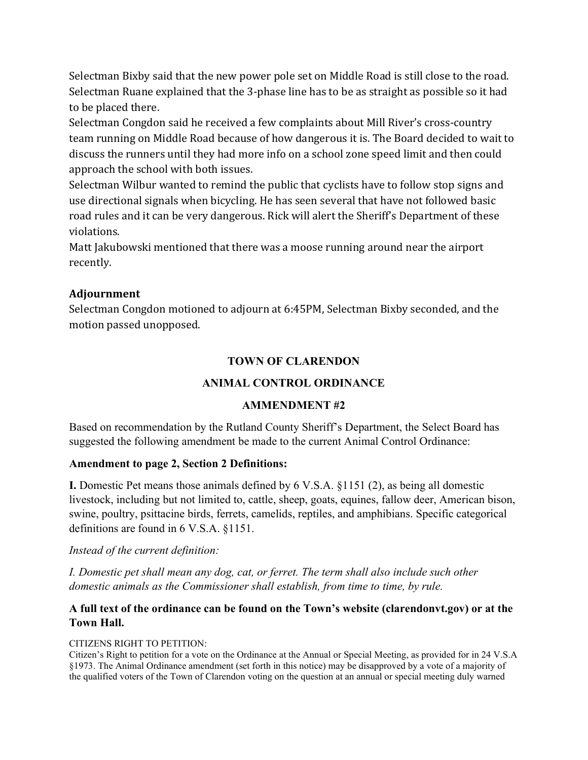Selectman Bixby said that the new power pole set on Middle Road is still close to the road. Selectman Ruane explained that the 3-phase line has to be as straight as possible so it had to be placed there.

Selectman Congdon said he received a few complaints about Mill River's cross-country team running on Middle Road because of how dangerous it is. The Board decided to wait to discuss the runners until they had more info on a school zone speed limit and then could approach the school with both issues.

Selectman Wilbur wanted to remind the public that cyclists have to follow stop signs and use directional signals when bicycling. He has seen several that have not followed basic road rules and it can be very dangerous. Rick will alert the Sheriff's Department of these violations.

Matt Jakubowski mentioned that there was a moose running around near the airport recently.

## Adjournment

Selectman Congdon motioned to adjourn at 6:45PM, Selectman Bixby seconded, and the motion passed unopposed.

## TOWN OF CLARENDON

## ANIMAL CONTROL ORDINANCE

## AMMENDMENT #2

Based on recommendation by the Rutland County Sheriff's Department, the Select Board has suggested the following amendment be made to the current Animal Control Ordinance:

## Amendment to page 2, Section 2 Definitions:

I. Domestic Pet means those animals defined by 6 V.S.A. §1151 (2), as being all domestic livestock, including but not limited to, cattle, sheep, goats, equines, fallow deer, American bison, swine, poultry, psittacine birds, ferrets, camelids, reptiles, and amphibians. Specific categorical definitions are found in 6 V.S.A. §1151.

## Instead of the current definition:

I. Domestic pet shall mean any dog, cat, or ferret. The term shall also include such other domestic animals as the Commissioner shall establish, from time to time, by rule.

## A full text of the ordinance can be found on the Town's website (clarendonvt.gov) or at the Town Hall.

#### CITIZENS RIGHT TO PETITION:

Citizen's Right to petition for a vote on the Ordinance at the Annual or Special Meeting, as provided for in 24 V.S.A §1973. The Animal Ordinance amendment (set forth in this notice) may be disapproved by a vote of a majority of the qualified voters of the Town of Clarendon voting on the question at an annual or special meeting duly warned